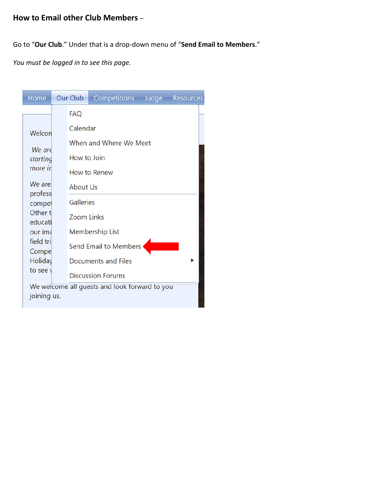## **How to Email other Club Members** –

Go to "**Our Club**." Under that is a drop-down menu of "**Send Email to Members**."

*You must be logged in to see this page.* 

| Home               | Our Club          | Competitions Judge Resources                  |  |
|--------------------|-------------------|-----------------------------------------------|--|
|                    | <b>FAQ</b>        |                                               |  |
| Welcon             | Calendar          |                                               |  |
| We are             |                   | When and Where We Meet                        |  |
| starting           |                   | How to Join                                   |  |
| more in            |                   | How to Renew                                  |  |
| We are<br>profess  | <b>About Us</b>   |                                               |  |
| compet             | Galleries         |                                               |  |
| Other t<br>educati | <b>Zoom Links</b> |                                               |  |
| our ima            |                   | <b>Membership List</b>                        |  |
| field tri<br>Compe |                   | Send Email to Members                         |  |
| <b>Holiday</b>     |                   | Documents and Files                           |  |
| to see y           |                   | <b>Discussion Forums</b>                      |  |
|                    |                   | We welcome all guests and look forward to you |  |
| joining us.        |                   |                                               |  |

**Barbara**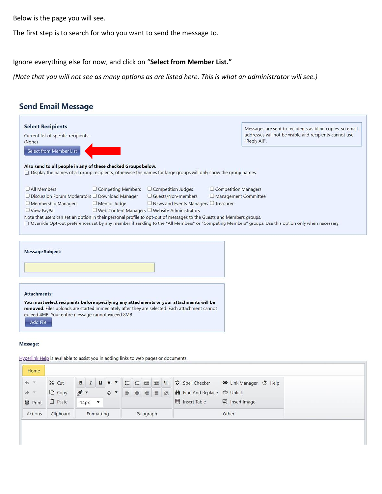Below is the page you will see.

The first step is to search for who you want to send the message to.

Ignore everything else for now, and click on "**Select from Member List."** 

*(Note that you will not see as many options as are listed here. This is what an administrator will see.)*

### **Send Email Message**

| <b>Select Recipients</b><br>Current list of specific recipients:<br>(None)<br>Select from Member List<br>Also send to all people in any of these checked Groups below.<br>$\Box$ Display the names of all group recipients, otherwise the names for large groups will only show the group names.                                                                                                                                                                                                                                                                                                                                                       | Messages are sent to recipients as blind copies, so email<br>addresses will not be visible and recipients cannot use<br>"Reply All". |
|--------------------------------------------------------------------------------------------------------------------------------------------------------------------------------------------------------------------------------------------------------------------------------------------------------------------------------------------------------------------------------------------------------------------------------------------------------------------------------------------------------------------------------------------------------------------------------------------------------------------------------------------------------|--------------------------------------------------------------------------------------------------------------------------------------|
| <b>DAII</b> Members<br>$\Box$ Competing Members<br>$\Box$ Competition Judges<br>$\Box$ Discussion Forum Moderators $\Box$ Download Manager<br>$\Box$ Guests/Non-members<br>$\square$ Mentor Judge<br>$\Box$ News and Events Managers $\Box$ Treasurer<br>$\Box$ Membership Managers<br>$\Box$ Web Content Managers $\Box$ Website Administrators<br>$\Box$ View PayPal<br>Note that users can set an option in their personal profile to opt-out of messages to the Guests and Members groups.<br>□ Override Opt-out preferences set by any member if sending to the "All Members" or "Competing Members" groups. Use this option only when necessary. | $\Box$ Competition Managers<br>$\Box$ Management Committee                                                                           |
| <b>Message Subject:</b>                                                                                                                                                                                                                                                                                                                                                                                                                                                                                                                                                                                                                                |                                                                                                                                      |
| <b>Attachments:</b><br>You must select recipients before specifying any attachments or your attachments will be<br>removed. Files uploads are started immediately after they are selected. Each attachment cannot<br>exceed 4MB. Your entire message cannot exceed 8MB.<br>Add File                                                                                                                                                                                                                                                                                                                                                                    |                                                                                                                                      |
| Message:<br>Hyperlink Help is available to assist you in adding links to web pages or documents.                                                                                                                                                                                                                                                                                                                                                                                                                                                                                                                                                       |                                                                                                                                      |
| Home                                                                                                                                                                                                                                                                                                                                                                                                                                                                                                                                                                                                                                                   |                                                                                                                                      |

| Home              |                    |              |            |                 |  |           |  |                                                                                                                                                                                                                                 |
|-------------------|--------------------|--------------|------------|-----------------|--|-----------|--|---------------------------------------------------------------------------------------------------------------------------------------------------------------------------------------------------------------------------------|
| A                 | $\frac{1}{26}$ Cut | B            |            |                 |  |           |  | $\underline{\mathsf{u}}$ $\mathsf{A}$ $\mathsf{v}$ $\vdots$ $\vdots$ $\vdots$ $\vdots$ $\overline{\mathsf{u}}$ $\overline{\mathsf{u}}$ $\overline{\mathsf{u}}$ $\mathsf{u}$ $\mathsf{v}$ Spell Checker<br>e Link Manager 2 Help |
| $\Rightarrow$     | $\n  Copy\n$       | $\mathbf{v}$ |            | $\circ$ $\cdot$ |  |           |  |                                                                                                                                                                                                                                 |
| $\bigoplus$ Print | $P$ aste           | 14px         |            |                 |  |           |  | <b>EL</b> Insert Table<br>$\mathbf{L}$ Insert Image                                                                                                                                                                             |
| Actions           | Clipboard          |              | Formatting |                 |  | Paragraph |  | Other                                                                                                                                                                                                                           |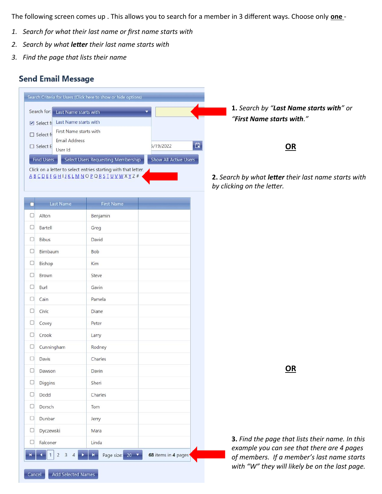The following screen comes up . This allows you to search for a member in 3 different ways. Choose only **one** -

- *1. Search for what their last name or first name starts with*
- *2. Search by what letter their last name starts with*
- *3. Find the page that lists their name*

### **Send Email Message**

|    | Last Name starts with<br>$\triangleright$ Select fr<br>First Name starts with<br>$\square$ Select fr<br><b>Email Address</b><br>$\square$ Select E<br>User Id<br><b>Find Users</b> | Select Users Requesting Membership<br>Click on a letter to select entries starting with that letter.<br>ABCDEFGHIJKLMNOPQRSIUVWXYZ# | 自<br>5/19/2022<br><b>Show All Active Users</b> |
|----|------------------------------------------------------------------------------------------------------------------------------------------------------------------------------------|-------------------------------------------------------------------------------------------------------------------------------------|------------------------------------------------|
| □  | Last Name                                                                                                                                                                          | <b>First Name</b>                                                                                                                   |                                                |
| 0  | Alton                                                                                                                                                                              | Benjamin                                                                                                                            |                                                |
| O  | Bartell                                                                                                                                                                            | Greg                                                                                                                                |                                                |
| u  | <b>Bibus</b>                                                                                                                                                                       | David                                                                                                                               |                                                |
| u  | Birnbaum                                                                                                                                                                           | <b>Bob</b>                                                                                                                          |                                                |
| u  | Bishop                                                                                                                                                                             | Kim                                                                                                                                 |                                                |
| O  | Brown                                                                                                                                                                              | Steve                                                                                                                               |                                                |
| u  | Burl                                                                                                                                                                               | Gavin                                                                                                                               |                                                |
| u  | Cain                                                                                                                                                                               | Pamela                                                                                                                              |                                                |
| u  | Civic                                                                                                                                                                              | Diane                                                                                                                               |                                                |
| u  | Covey                                                                                                                                                                              | Peter                                                                                                                               |                                                |
| U  | Crook                                                                                                                                                                              | Larry                                                                                                                               |                                                |
| u  | Cunningham                                                                                                                                                                         | Rodney                                                                                                                              |                                                |
| u  | Davis                                                                                                                                                                              | Charles                                                                                                                             |                                                |
| □  | Dawson                                                                                                                                                                             | Davin                                                                                                                               |                                                |
| o  | Diggins                                                                                                                                                                            | Sheri                                                                                                                               |                                                |
| O  | Dodd                                                                                                                                                                               | Charles                                                                                                                             |                                                |
| 0  | Dorsch                                                                                                                                                                             | Tom                                                                                                                                 |                                                |
| u  | Dunbar                                                                                                                                                                             | Jerry                                                                                                                               |                                                |
| u  | Dyczewski                                                                                                                                                                          | Mara                                                                                                                                |                                                |
| O. | Falconer                                                                                                                                                                           | Linda                                                                                                                               |                                                |

**1.** *Search by "Last Name starts with" or "First Name starts with."* 

**OR**

**2.** *Search by what letter their last name starts with by clicking on the letter.*

**OR**

**3.** *Find the page that lists their name. In this example you can see that there are 4 pages of members. If a member's last name starts with "W" they will likely be on the last page.*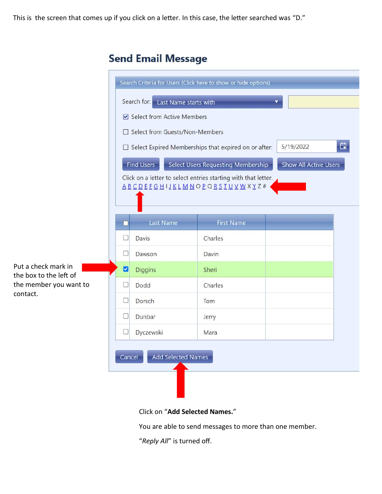This is the screen that comes up if you click on a letter. In this case, the letter searched was "D."

#### Search Criteria for Users (Click here to show or hide options) Search for: Last Name starts with ☑ Select from Active Members □ Select from Guests/Non-Members 白  $\Box$  Select Expired Memberships that expired on or after: 5/19/2022 **Find Users** Select Users Requesting Membership **Show All Active Users** Click on a letter to select entries starting with that letter.  $\begin{array}{c} \Delta \; \underline{\mathsf{B}} \; \underline{\mathsf{C}} \; \underline{\mathsf{D}} \; \underline{\mathsf{E}} \; \underline{\mathsf{F}} \; \underline{\mathsf{G}} \; \underline{\mathsf{H}} \; \mathsf{I} \; \underline{\mathsf{J}} \; \underline{\mathsf{K}} \; \underline{\mathsf{L}} \; \underline{\mathsf{M}} \; \underline{\mathsf{N}} \; \underline{\mathsf{O}} \; \underline{\mathsf{P}} \; \underline{\mathsf{Q}} \; \underline{\mathsf{R}} \; \underline{\mathsf{S}} \; \underline{\mathsf{T}} \; \underline{\mathsf{U}} \; \underline{\mathsf{V}} \; \underline$ Last Name **First Name**  $\Box$  $\Box$ **Davis** Charles  $\Box$ Dawson **Davin** Put a check mark in  $\blacksquare$ Sheri **Diggins** the box to the left of the member you want to  $\Box$ Dodd Charles  $\Box$ Dorsch Tom  $\Box$ Dunbar Jerry  $\Box$ Dyczewski Mara Add Selected Names Cancel

## **Send Email Message**

contact.

Click on "**Add Selected Names.**"

You are able to send messages to more than one member.

"*Reply All*" is turned off.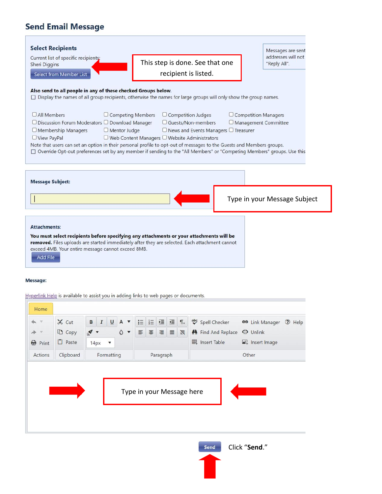# **Send Email Message**

| <b>Select Recipients</b>                                                                                                                                                                                                                                            |                                                           |                             | Messages are sent                  |
|---------------------------------------------------------------------------------------------------------------------------------------------------------------------------------------------------------------------------------------------------------------------|-----------------------------------------------------------|-----------------------------|------------------------------------|
| Current list of specific recipients:<br><b>Sheri Diggins</b>                                                                                                                                                                                                        | This step is done. See that one                           |                             | addresses will not<br>"Reply All". |
| Select from Member List                                                                                                                                                                                                                                             | recipient is listed.                                      |                             |                                    |
|                                                                                                                                                                                                                                                                     |                                                           |                             |                                    |
| Also send to all people in any of these checked Groups below.<br>$\Box$ Display the names of all group recipients, otherwise the names for large groups will only show the group names.                                                                             |                                                           |                             |                                    |
| <b>OAII</b> Members<br>$\Box$ Competing Members                                                                                                                                                                                                                     | $\Box$ Competition Judges                                 | $\Box$ Competition Managers |                                    |
| $\Box$ Discussion Forum Moderators $\Box$ Download Manager                                                                                                                                                                                                          | $\Box$ Guests/Non-members                                 | $\Box$ Management Committee |                                    |
| $\Box$ Membership Managers<br>$\Box$ Mentor Judge                                                                                                                                                                                                                   | $\Box$ News and Events Managers $\Box$ Treasurer          |                             |                                    |
| $\Box$ View PayPal                                                                                                                                                                                                                                                  | $\Box$ Web Content Managers $\Box$ Website Administrators |                             |                                    |
| Note that users can set an option in their personal profile to opt-out of messages to the Guests and Members groups.                                                                                                                                                |                                                           |                             |                                    |
| □ Override Opt-out preferences set by any member if sending to the "All Members" or "Competing Members" groups. Use this                                                                                                                                            |                                                           |                             |                                    |
|                                                                                                                                                                                                                                                                     |                                                           |                             |                                    |
| <b>Message Subject:</b>                                                                                                                                                                                                                                             |                                                           |                             |                                    |
|                                                                                                                                                                                                                                                                     |                                                           |                             | Type in your Message Subject       |
| <b>Attachments:</b>                                                                                                                                                                                                                                                 |                                                           |                             |                                    |
| You must select recipients before specifying any attachments or your attachments will be<br>removed. Files uploads are started immediately after they are selected. Each attachment cannot<br>exceed 4MB. Your entire message cannot exceed 8MB.<br><b>Add File</b> |                                                           |                             |                                    |

#### Message:

Hyperlink Help is available to assist you in adding links to web pages or documents.

| $\chi$ Cut                          |           | $\sf{B}$       | $\boldsymbol{I}$     | $\underline{\mathsf{u}}$ | $\blacktriangle$ | $\blacktriangledown$ | $\mathrel{\mathop:}=$     | 巨        | 福         | $\overline{\mathbb{E}}$ | $\P_+$                  | abc Spell Checker |  | <b>GD</b> Link Manager | <b>⑦</b> Help |
|-------------------------------------|-----------|----------------|----------------------|--------------------------|------------------|----------------------|---------------------------|----------|-----------|-------------------------|-------------------------|-------------------|--|------------------------|---------------|
| $\Box$ Copy                         |           | $\mathbf{N}$ v |                      |                          | $\Diamond$       | $\blacktriangledown$ | $\equiv$                  | $\equiv$ | 鼍         | $\equiv$                | $\overline{\mathbb{F}}$ | Find And Replace  |  | $\xi$ Unlink           |               |
| $P$ Paste<br><b>●</b> Print<br>14px |           |                | $\blacktriangledown$ |                          |                  |                      |                           |          |           |                         | <b>囲</b> Insert Table   | Insert Image      |  |                        |               |
| <b>Actions</b>                      | Clipboard |                |                      | Formatting               |                  |                      |                           |          | Paragraph |                         |                         |                   |  | Other                  |               |
|                                     |           |                |                      |                          |                  |                      | Type in your Message here |          |           |                         |                         |                   |  |                        |               |
|                                     |           |                |                      |                          |                  |                      |                           |          |           |                         |                         |                   |  |                        |               |
|                                     |           |                |                      |                          |                  |                      |                           |          |           |                         |                         |                   |  |                        |               |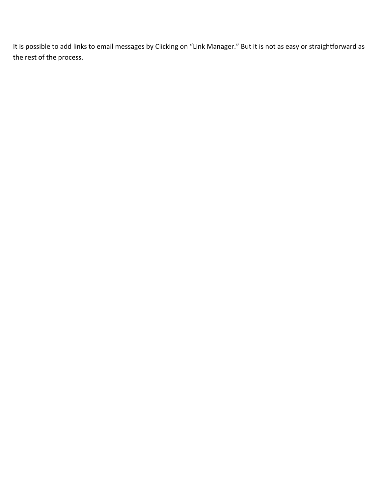It is possible to add links to email messages by Clicking on "Link Manager." But it is not as easy or straightforward as the rest of the process.